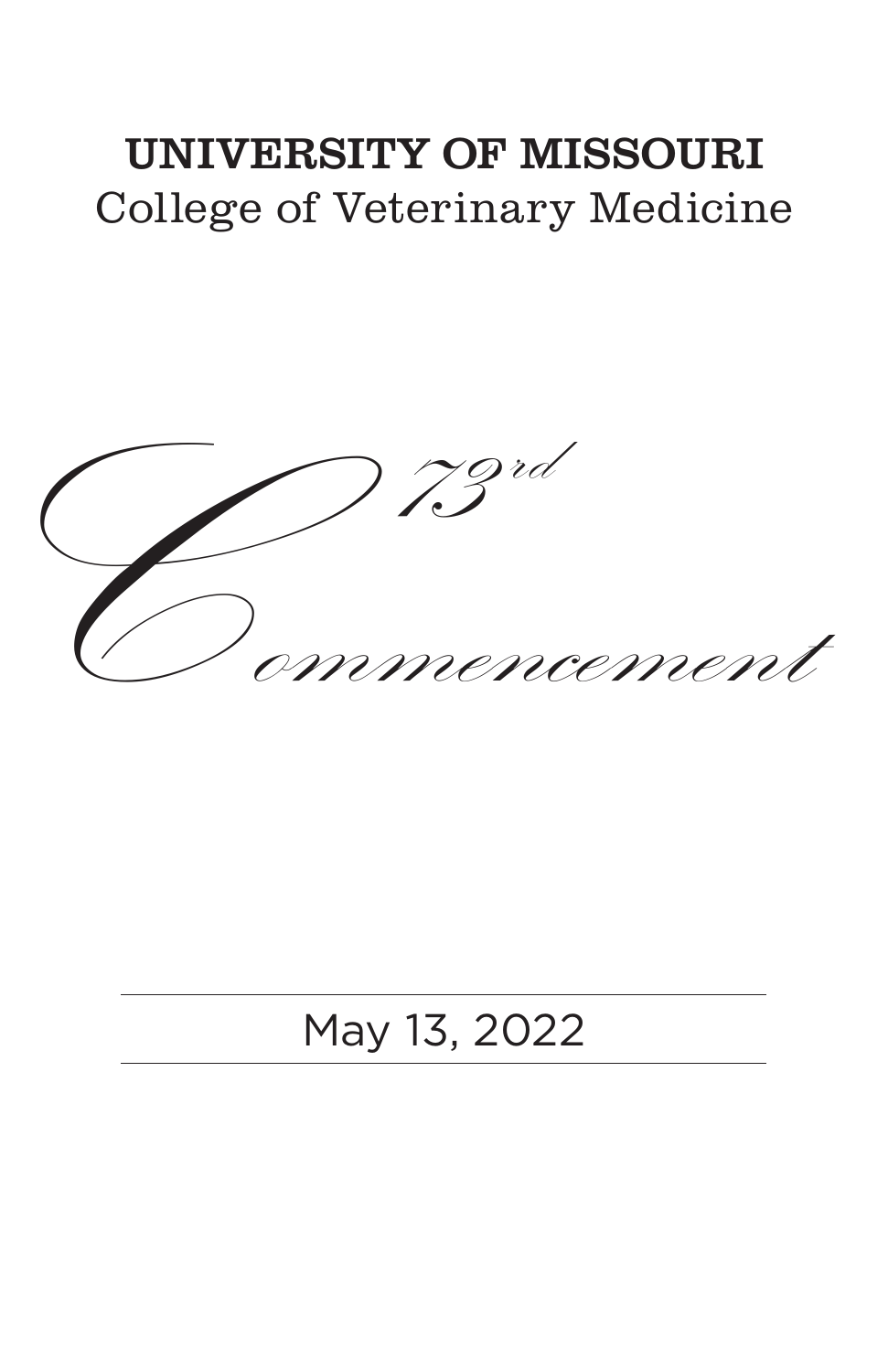# UNIVERSITY OF MISSOURI College of Veterinary Medicine



# May 13, 2022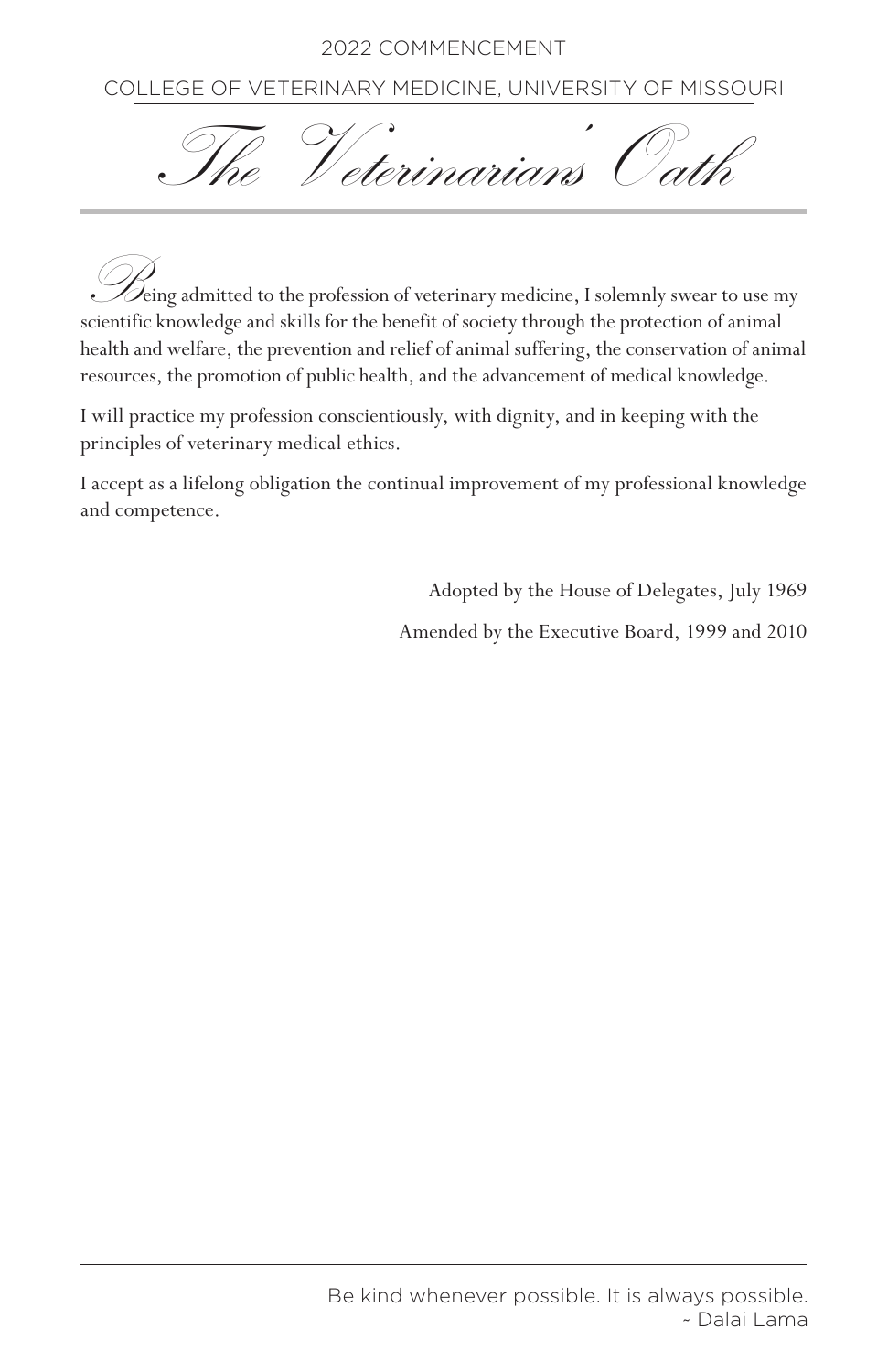COLLEGE OF VETERINARY MEDICINE, UNIVERSITY OF MISSOURI



Being admitted to the profession of veterinary medicine, I solemnly swear to use my scientific knowledge and skills for the benefit of society through the protection of animal health and welfare, the prevention and relief of animal suffering, the conservation of animal resources, the promotion of public health, and the advancement of medical knowledge.

I will practice my profession conscientiously, with dignity, and in keeping with the principles of veterinary medical ethics.

I accept as a lifelong obligation the continual improvement of my professional knowledge and competence.

Adopted by the House of Delegates, July 1969

Amended by the Executive Board, 1999 and 2010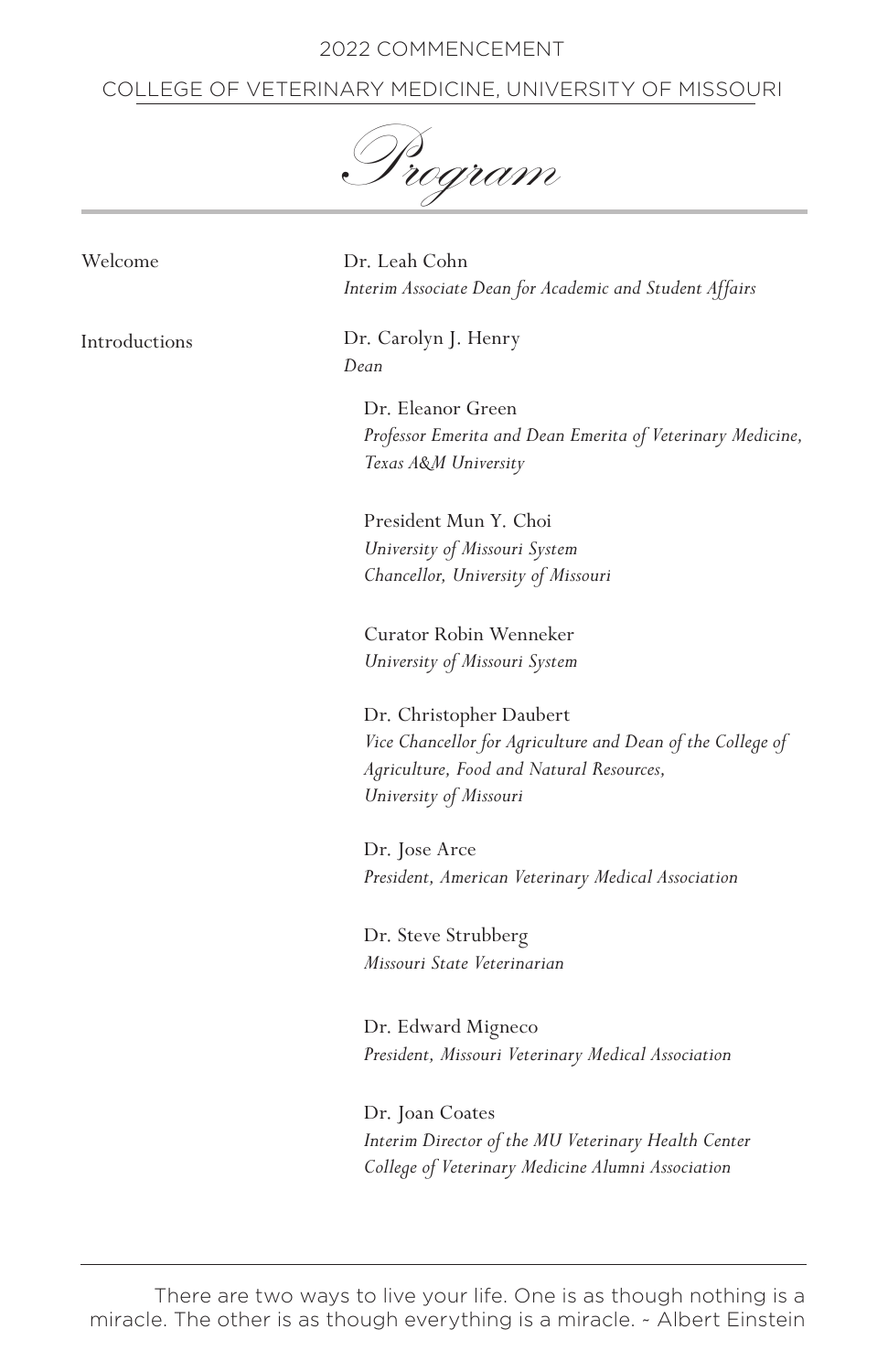## COLLEGE OF VETERINARY MEDICINE, UNIVERSITY OF MISSOURI

Program

Welcome

Introductions

Dr. Leah Cohn *Interim Associate Dean for Academic and Student Affairs*

Dr. Carolyn J. Henry *Dean*

> Dr. Eleanor Green *Professor Emerita and Dean Emerita of Veterinary Medicine, Texas A&M University*

President Mun Y. Choi *University of Missouri System Chancellor, University of Missouri*

Curator Robin Wenneker *University of Missouri System*

Dr. Christopher Daubert *Vice Chancellor for Agriculture and Dean of the College of Agriculture, Food and Natural Resources, University of Missouri* 

Dr. Jose Arce *President, American Veterinary Medical Association*

Dr. Steve Strubberg *Missouri State Veterinarian*

Dr. Edward Migneco *President, Missouri Veterinary Medical Association*

Dr. Joan Coates *Interim Director of the MU Veterinary Health Center College of Veterinary Medicine Alumni Association*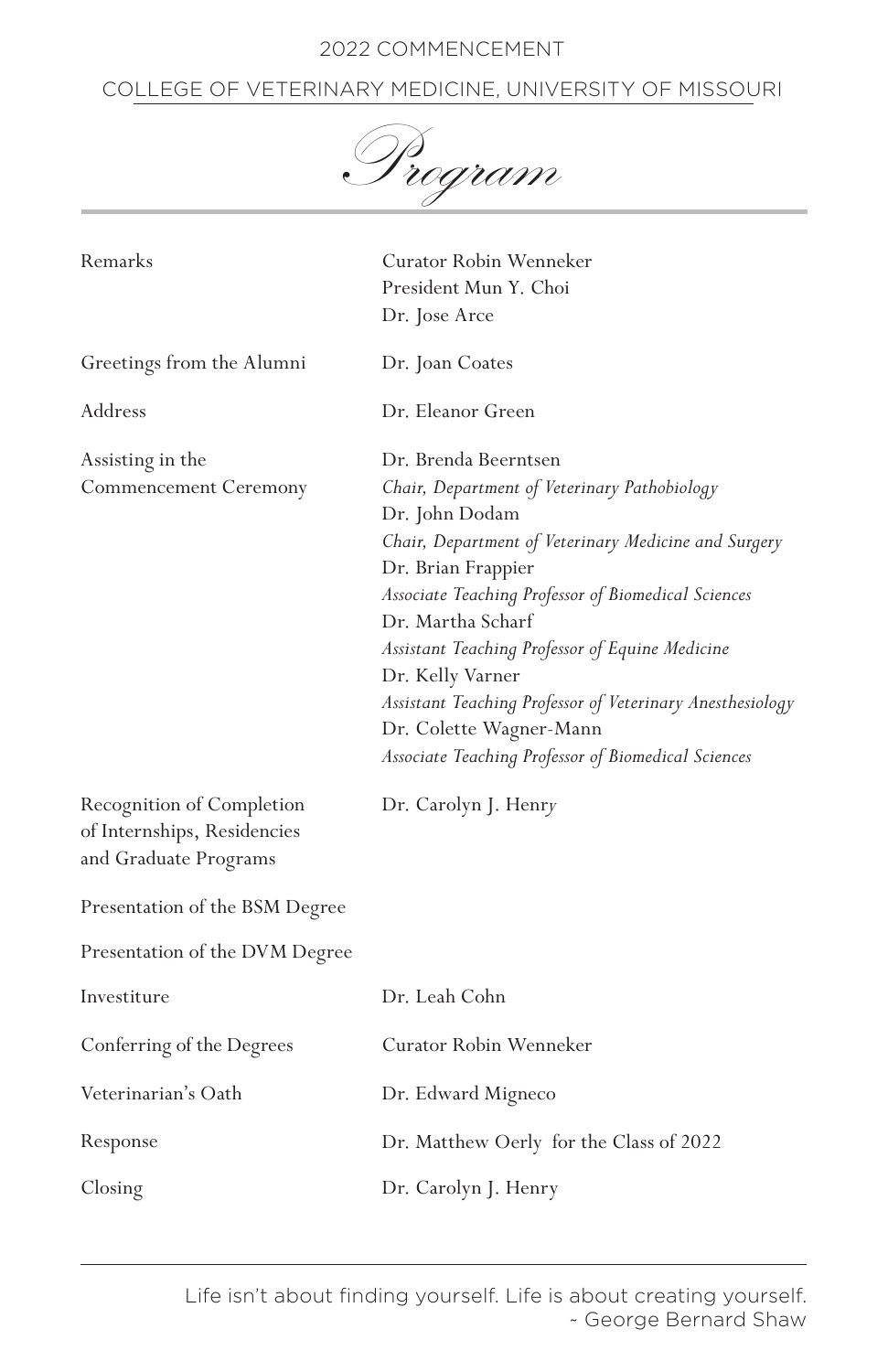# COLLEGE OF VETERINARY MEDICINE, UNIVERSITY OF MISSOURI

Program

| Remarks                                                                           | Curator Robin Wenneker<br>President Mun Y. Choi<br>Dr. Jose Arce                                                                                                                                                                                                                                                                                                                                                                                                       |
|-----------------------------------------------------------------------------------|------------------------------------------------------------------------------------------------------------------------------------------------------------------------------------------------------------------------------------------------------------------------------------------------------------------------------------------------------------------------------------------------------------------------------------------------------------------------|
| Greetings from the Alumni                                                         | Dr. Joan Coates                                                                                                                                                                                                                                                                                                                                                                                                                                                        |
| Address                                                                           | Dr. Eleanor Green                                                                                                                                                                                                                                                                                                                                                                                                                                                      |
| Assisting in the<br>Commencement Ceremony                                         | Dr. Brenda Beerntsen<br>Chair, Department of Veterinary Pathobiology<br>Dr. John Dodam<br>Chair, Department of Veterinary Medicine and Surgery<br>Dr. Brian Frappier<br>Associate Teaching Professor of Biomedical Sciences<br>Dr. Martha Scharf<br>Assistant Teaching Professor of Equine Medicine<br>Dr. Kelly Varner<br>Assistant Teaching Professor of Veterinary Anesthesiology<br>Dr. Colette Wagner-Mann<br>Associate Teaching Professor of Biomedical Sciences |
| Recognition of Completion<br>of Internships, Residencies<br>and Graduate Programs | Dr. Carolyn J. Henry                                                                                                                                                                                                                                                                                                                                                                                                                                                   |
| Presentation of the BSM Degree                                                    |                                                                                                                                                                                                                                                                                                                                                                                                                                                                        |
| Presentation of the DVM Degree                                                    |                                                                                                                                                                                                                                                                                                                                                                                                                                                                        |
| Investiture                                                                       | Dr. Leah Cohn                                                                                                                                                                                                                                                                                                                                                                                                                                                          |
| Conferring of the Degrees                                                         | Curator Robin Wenneker                                                                                                                                                                                                                                                                                                                                                                                                                                                 |
| Veterinarian's Oath                                                               | Dr. Edward Migneco                                                                                                                                                                                                                                                                                                                                                                                                                                                     |
| Response                                                                          | Dr. Matthew Oerly for the Class of 2022                                                                                                                                                                                                                                                                                                                                                                                                                                |
| Closing                                                                           | Dr. Carolyn J. Henry                                                                                                                                                                                                                                                                                                                                                                                                                                                   |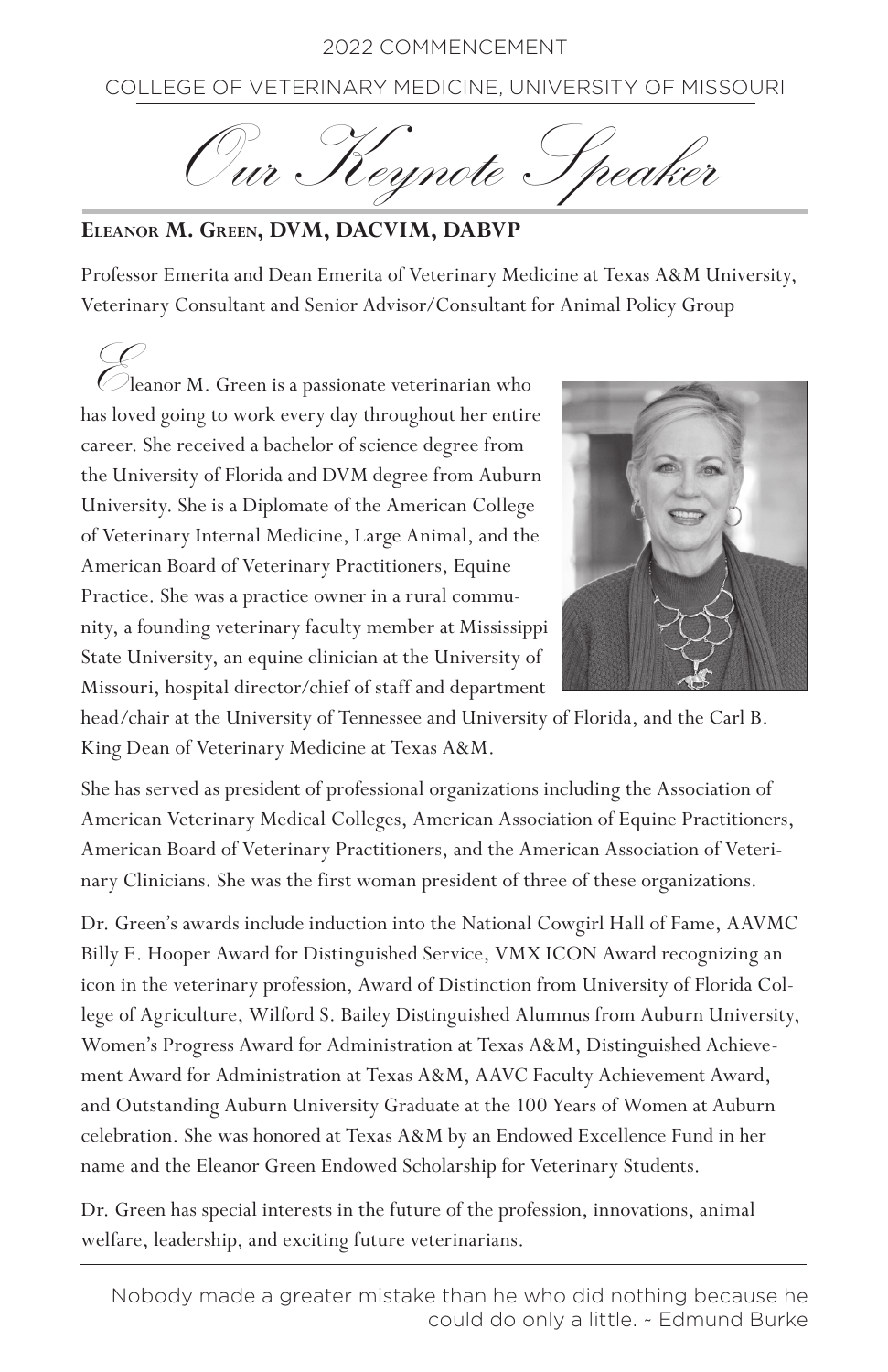COLLEGE OF VETERINARY MEDICINE, UNIVERSITY OF MISSOURI

Our Keynote Speaker

# **Eleanor M. Green, DVM, DACVIM, DABVP**

Professor Emerita and Dean Emerita of Veterinary Medicine at Texas A&M University, Veterinary Consultant and Senior Advisor/Consultant for Animal Policy Group

Eleanor M. Green is a passionate veterinarian who has loved going to work every day throughout her entire career. She received a bachelor of science degree from the University of Florida and DVM degree from Auburn University. She is a Diplomate of the American College of Veterinary Internal Medicine, Large Animal, and the American Board of Veterinary Practitioners, Equine Practice. She was a practice owner in a rural community, a founding veterinary faculty member at Mississippi State University, an equine clinician at the University of Missouri, hospital director/chief of staff and department



head/chair at the University of Tennessee and University of Florida, and the Carl B. King Dean of Veterinary Medicine at Texas A&M.

She has served as president of professional organizations including the Association of American Veterinary Medical Colleges, American Association of Equine Practitioners, American Board of Veterinary Practitioners, and the American Association of Veterinary Clinicians. She was the first woman president of three of these organizations.

Dr. Green's awards include induction into the National Cowgirl Hall of Fame, AAVMC Billy E. Hooper Award for Distinguished Service, VMX ICON Award recognizing an icon in the veterinary profession, Award of Distinction from University of Florida College of Agriculture, Wilford S. Bailey Distinguished Alumnus from Auburn University, Women's Progress Award for Administration at Texas A&M, Distinguished Achievement Award for Administration at Texas A&M, AAVC Faculty Achievement Award, and Outstanding Auburn University Graduate at the 100 Years of Women at Auburn celebration. She was honored at Texas A&M by an Endowed Excellence Fund in her name and the Eleanor Green Endowed Scholarship for Veterinary Students.

Dr. Green has special interests in the future of the profession, innovations, animal welfare, leadership, and exciting future veterinarians.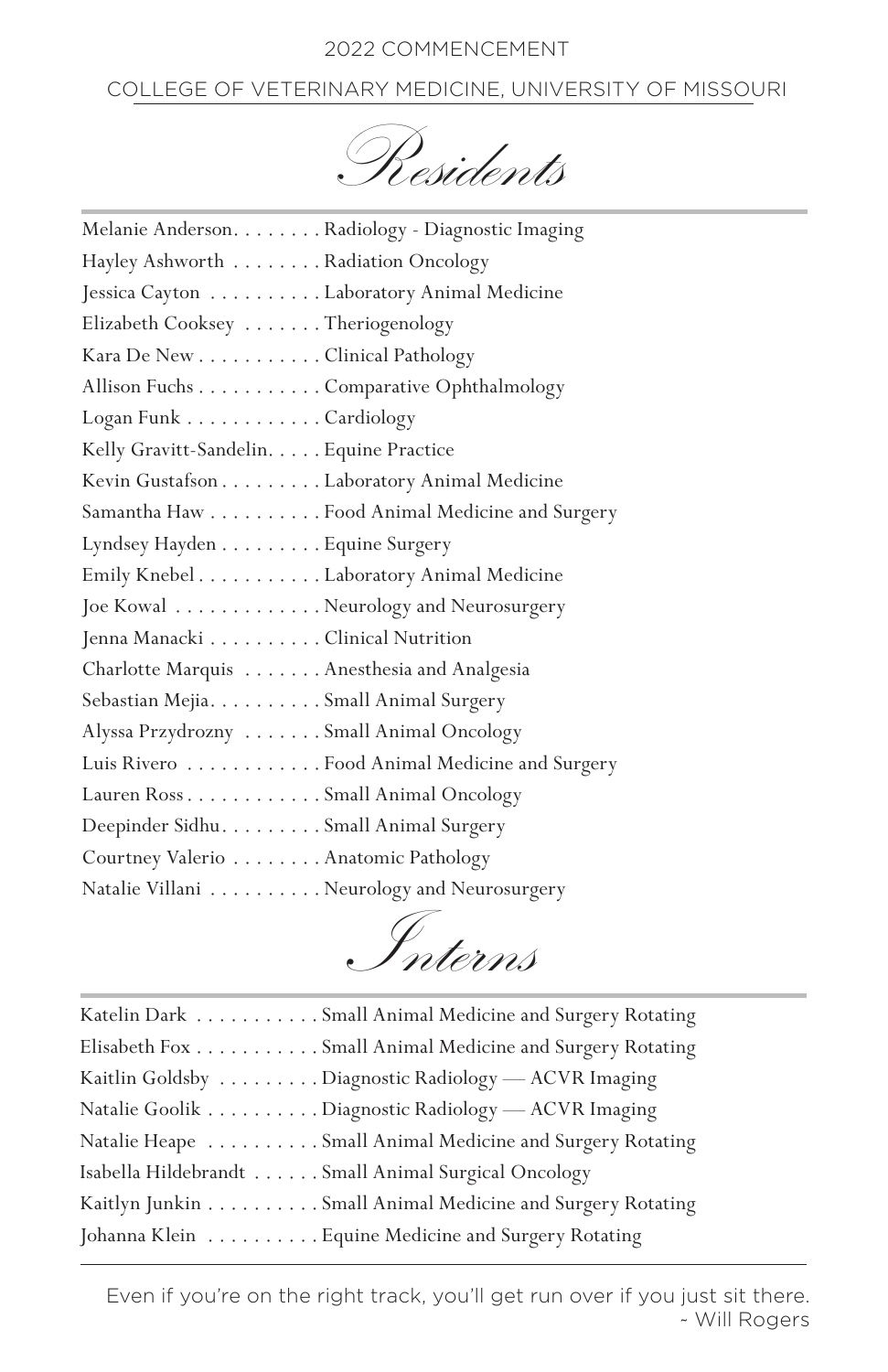# COLLEGE OF VETERINARY MEDICINE, UNIVERSITY OF MISSOURI

Residents

| Melanie Anderson. Radiology - Diagnostic Imaging |
|--------------------------------------------------|
| Hayley Ashworth Radiation Oncology               |
| Jessica Cayton Laboratory Animal Medicine        |
| Elizabeth Cooksey Theriogenology                 |
| Kara De New Clinical Pathology                   |
| Allison Fuchs Comparative Ophthalmology          |
| Logan Funk Cardiology                            |
| Kelly Gravitt-Sandelin. Equine Practice          |
| Kevin Gustafson Laboratory Animal Medicine       |
| Samantha Haw Food Animal Medicine and Surgery    |
| Lyndsey Hayden Equine Surgery                    |
| Emily Knebel Laboratory Animal Medicine          |
| Joe Kowal Neurology and Neurosurgery             |
| Jenna Manacki Clinical Nutrition                 |
| Charlotte Marquis Anesthesia and Analgesia       |
| Sebastian Mejia. Small Animal Surgery            |
| Alyssa Przydrozny Small Animal Oncology          |
| Luis Rivero Food Animal Medicine and Surgery     |
| Lauren Ross Small Animal Oncology                |
| Deepinder Sidhu. Small Animal Surgery            |
| Courtney Valerio Anatomic Pathology              |
| Natalie Villani Neurology and Neurosurgery       |

Interns

| Katelin Dark Small Animal Medicine and Surgery Rotating   |
|-----------------------------------------------------------|
| Elisabeth Fox Small Animal Medicine and Surgery Rotating  |
| Kaitlin Goldsby Diagnostic Radiology — ACVR Imaging       |
| Natalie Goolik Diagnostic Radiology - ACVR Imaging        |
| Natalie Heape Small Animal Medicine and Surgery Rotating  |
| Isabella Hildebrandt Small Animal Surgical Oncology       |
| Kaitlyn Junkin Small Animal Medicine and Surgery Rotating |
| Johanna Klein Equine Medicine and Surgery Rotating        |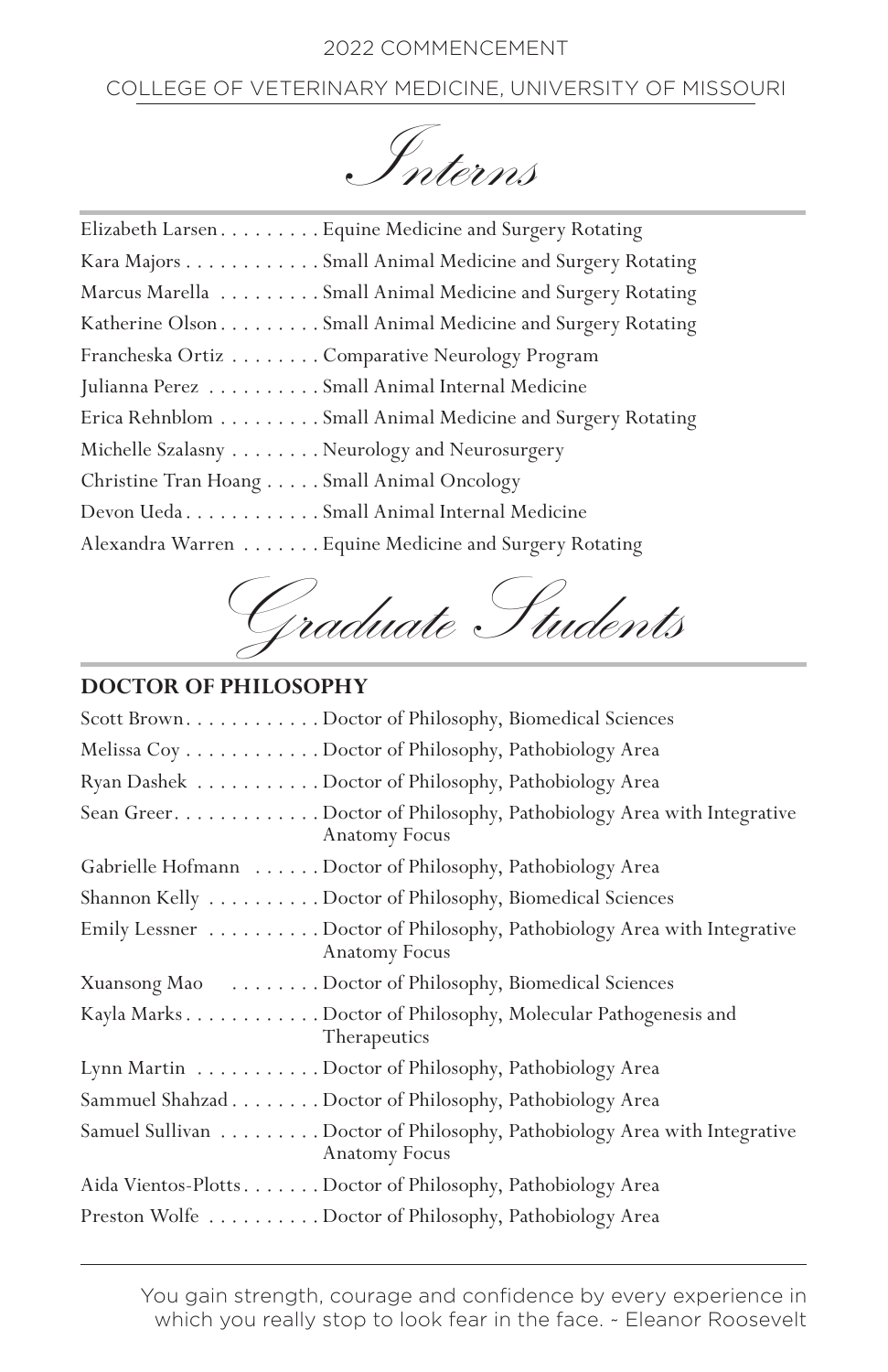# COLLEGE OF VETERINARY MEDICINE, UNIVERSITY OF MISSOURI

Interns

| Elizabeth Larsen Equine Medicine and Surgery Rotating      |
|------------------------------------------------------------|
| Kara Majors Small Animal Medicine and Surgery Rotating     |
| Marcus Marella Small Animal Medicine and Surgery Rotating  |
| Katherine Olson Small Animal Medicine and Surgery Rotating |
| Francheska Ortiz Comparative Neurology Program             |
| Julianna Perez Small Animal Internal Medicine              |
| Erica Rehnblom Small Animal Medicine and Surgery Rotating  |
| Michelle Szalasny Neurology and Neurosurgery               |
| Christine Tran Hoang Small Animal Oncology                 |
| Devon UedaSmall Animal Internal Medicine                   |
| Alexandra Warren Equine Medicine and Surgery Rotating      |



# **DOCTOR OF PHILOSOPHY**

| Scott Brown. Doctor of Philosophy, Biomedical Sciences                                         |
|------------------------------------------------------------------------------------------------|
| Melissa Coy Doctor of Philosophy, Pathobiology Area                                            |
| Ryan Dashek Doctor of Philosophy, Pathobiology Area                                            |
| Sean Greer. Doctor of Philosophy, Pathobiology Area with Integrative<br><b>Anatomy Focus</b>   |
| Gabrielle Hofmann Doctor of Philosophy, Pathobiology Area                                      |
| Shannon Kelly Doctor of Philosophy, Biomedical Sciences                                        |
| Emily Lessner Doctor of Philosophy, Pathobiology Area with Integrative<br><b>Anatomy Focus</b> |
| Xuansong Mao Doctor of Philosophy, Biomedical Sciences                                         |
| Kayla Marks Doctor of Philosophy, Molecular Pathogenesis and<br>Therapeutics                   |
| Lynn Martin Doctor of Philosophy, Pathobiology Area                                            |
| Sammuel Shahzad Doctor of Philosophy, Pathobiology Area                                        |
| Samuel Sullivan Doctor of Philosophy, Pathobiology Area with Integrative<br>Anatomy Focus      |
| Aida Vientos-Plotts Doctor of Philosophy, Pathobiology Area                                    |
| Preston Wolfe Doctor of Philosophy, Pathobiology Area                                          |

You gain strength, courage and confidence by every experience in which you really stop to look fear in the face. ~ Eleanor Roosevelt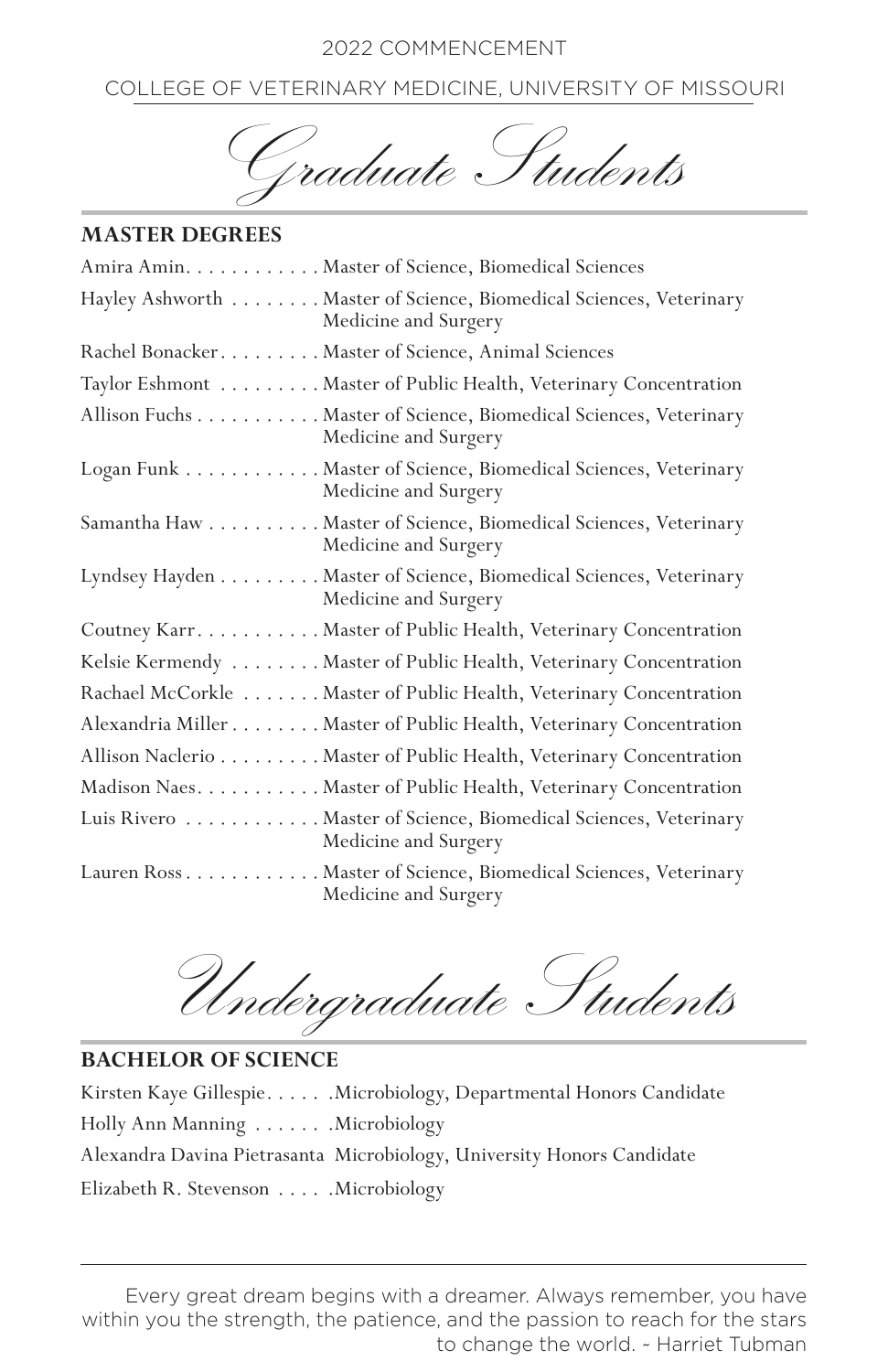COLLEGE OF VETERINARY MEDICINE, UNIVERSITY OF MISSOURI

Graduate Students

#### **MASTER DEGREES**

| Amira Amin. Master of Science, Biomedical Sciences                                         |
|--------------------------------------------------------------------------------------------|
| Hayley Ashworth Master of Science, Biomedical Sciences, Veterinary<br>Medicine and Surgery |
| Rachel Bonacker. Master of Science, Animal Sciences                                        |
| Taylor Eshmont Master of Public Health, Veterinary Concentration                           |
| Allison Fuchs Master of Science, Biomedical Sciences, Veterinary<br>Medicine and Surgery   |
| Logan Funk Master of Science, Biomedical Sciences, Veterinary<br>Medicine and Surgery      |
| Samantha Haw Master of Science, Biomedical Sciences, Veterinary<br>Medicine and Surgery    |
| Lyndsey Hayden Master of Science, Biomedical Sciences, Veterinary<br>Medicine and Surgery  |
| Coutney Karr. Master of Public Health, Veterinary Concentration                            |
| Kelsie Kermendy Master of Public Health, Veterinary Concentration                          |
| Rachael McCorkle Master of Public Health, Veterinary Concentration                         |
| Alexandria Miller Master of Public Health, Veterinary Concentration                        |
| Allison Naclerio Master of Public Health, Veterinary Concentration                         |
| Madison Naes. Master of Public Health, Veterinary Concentration                            |
| Luis Rivero Master of Science, Biomedical Sciences, Veterinary<br>Medicine and Surgery     |
| Lauren Ross Master of Science, Biomedical Sciences, Veterinary<br>Medicine and Surgery     |

Undergraduate Students

**BACHELOR OF SCIENCE** Kirsten Kaye Gillespie. . . . . . . Microbiology, Departmental Honors Candidate Holly Ann Manning . . . . . . . Microbiology Alexandra Davina Pietrasanta Microbiology, University Honors Candidate Elizabeth R. Stevenson . . . . . . Microbiology

Every great dream begins with a dreamer. Always remember, you have within you the strength, the patience, and the passion to reach for the stars to change the world. ~ Harriet Tubman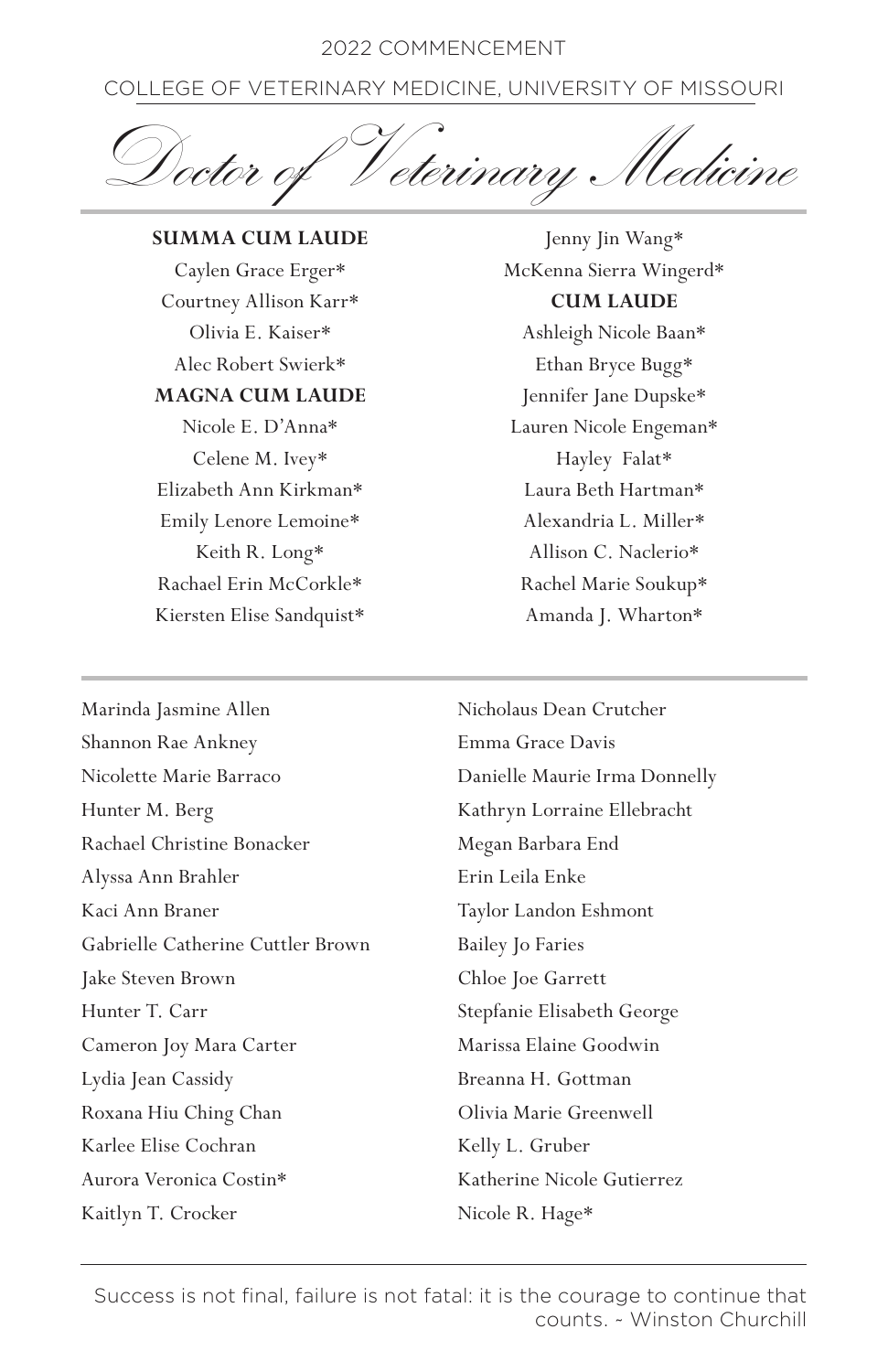COLLEGE OF VETERINARY MEDICINE, UNIVERSITY OF MISSOURI

Doctor of Veterinary Medicine

**SUMMA CUM LAUDE** Caylen Grace Erger\* Courtney Allison Karr\* Olivia E. Kaiser\* Alec Robert Swierk\* **MAGNA CUM LAUDE** Nicole E. D'Anna\* Celene M. Ivey\* Elizabeth Ann Kirkman\* Emily Lenore Lemoine\* Keith R. Long\* Rachael Erin McCorkle\* Kiersten Elise Sandquist\*

Jenny Jin Wang\* McKenna Sierra Wingerd\* **CUM LAUDE** Ashleigh Nicole Baan\* Ethan Bryce Bugg\* Jennifer Jane Dupske\* Lauren Nicole Engeman\* Hayley Falat\*

Laura Beth Hartman\* Alexandria L. Miller\* Allison C. Naclerio\* Rachel Marie Soukup\* Amanda J. Wharton\*

Marinda Jasmine Allen Shannon Rae Ankney Nicolette Marie Barraco Hunter M. Berg Rachael Christine Bonacker Alyssa Ann Brahler Kaci Ann Braner Gabrielle Catherine Cuttler Brown Jake Steven Brown Hunter T. Carr Cameron Joy Mara Carter Lydia Jean Cassidy Roxana Hiu Ching Chan Karlee Elise Cochran Aurora Veronica Costin\* Kaitlyn T. Crocker

Nicholaus Dean Crutcher Emma Grace Davis Danielle Maurie Irma Donnelly Kathryn Lorraine Ellebracht Megan Barbara End Erin Leila Enke Taylor Landon Eshmont Bailey Jo Faries Chloe Joe Garrett Stepfanie Elisabeth George Marissa Elaine Goodwin Breanna H. Gottman Olivia Marie Greenwell Kelly L. Gruber Katherine Nicole Gutierrez Nicole R. Hage\*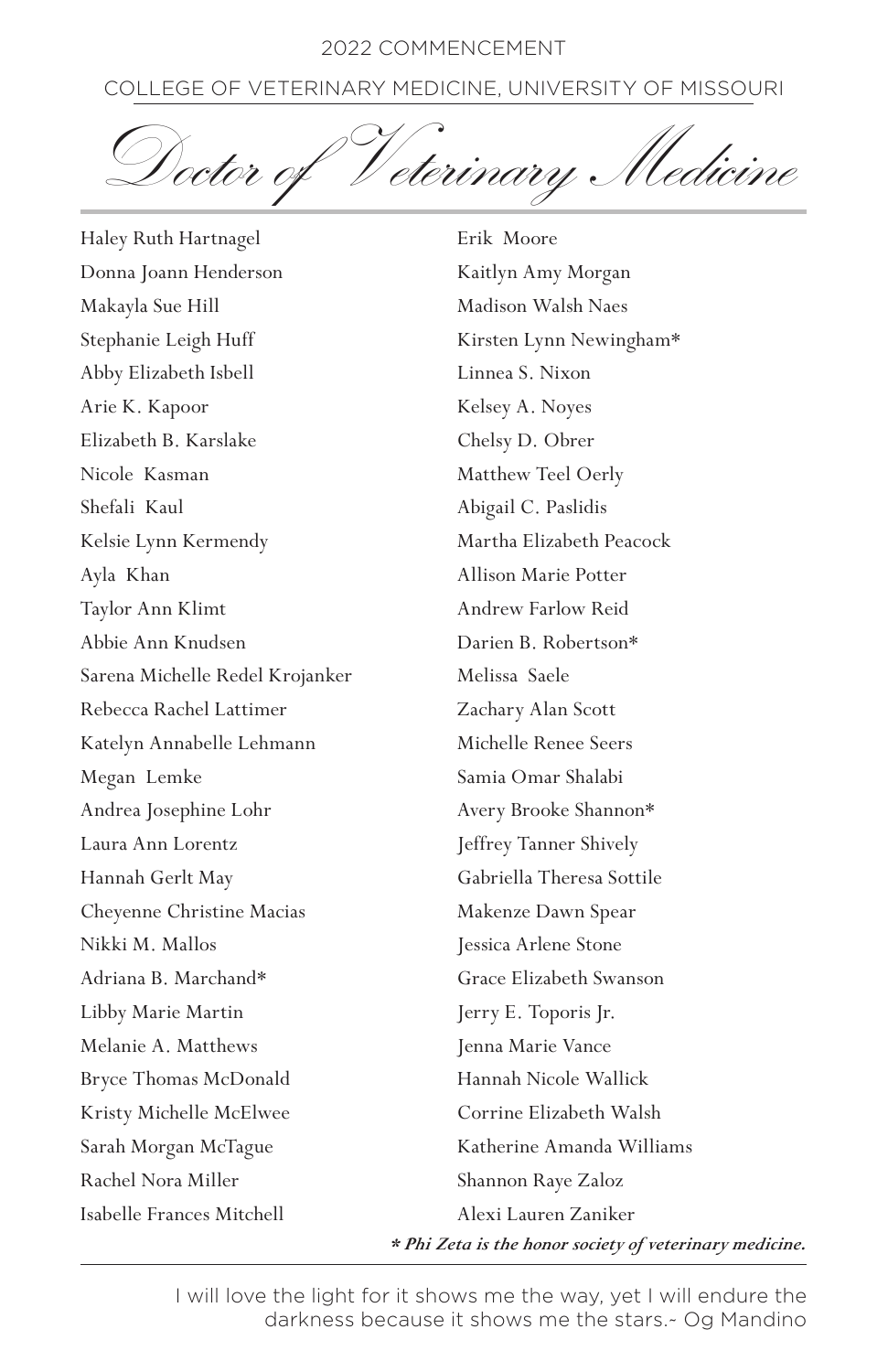# COLLEGE OF VETERINARY MEDICINE, UNIVERSITY OF MISSOURI

Doctor of Veterinary Medicine

Haley Ruth Hartnagel Donna Joann Henderson Makayla Sue Hill Stephanie Leigh Huff Abby Elizabeth Isbell Arie K. Kapoor Elizabeth B. Karslake Nicole Kasman Shefali Kaul Kelsie Lynn Kermendy Ayla Khan Taylor Ann Klimt Abbie Ann Knudsen Sarena Michelle Redel Krojanker Rebecca Rachel Lattimer Katelyn Annabelle Lehmann Megan Lemke Andrea Josephine Lohr Laura Ann Lorentz Hannah Gerlt May Cheyenne Christine Macias Nikki M. Mallos Adriana B. Marchand\* Libby Marie Martin Melanie A. Matthews Bryce Thomas McDonald Kristy Michelle McElwee Sarah Morgan McTague Rachel Nora Miller Isabelle Frances Mitchell

Erik Moore Kaitlyn Amy Morgan Madison Walsh Naes Kirsten Lynn Newingham\* Linnea S. Nixon Kelsey A. Noyes Chelsy D. Obrer Matthew Teel Oerly Abigail C. Paslidis Martha Elizabeth Peacock Allison Marie Potter Andrew Farlow Reid Darien B. Robertson\* Melissa Saele Zachary Alan Scott Michelle Renee Seers Samia Omar Shalabi Avery Brooke Shannon\* Jeffrey Tanner Shively Gabriella Theresa Sottile Makenze Dawn Spear Jessica Arlene Stone Grace Elizabeth Swanson Jerry E. Toporis Jr. Jenna Marie Vance Hannah Nicole Wallick Corrine Elizabeth Walsh Katherine Amanda Williams Shannon Raye Zaloz Alexi Lauren Zaniker

*\* Phi Zeta is the honor society of veterinary medicine.*

I will love the light for it shows me the way, yet I will endure the darkness because it shows me the stars.~ Og Mandino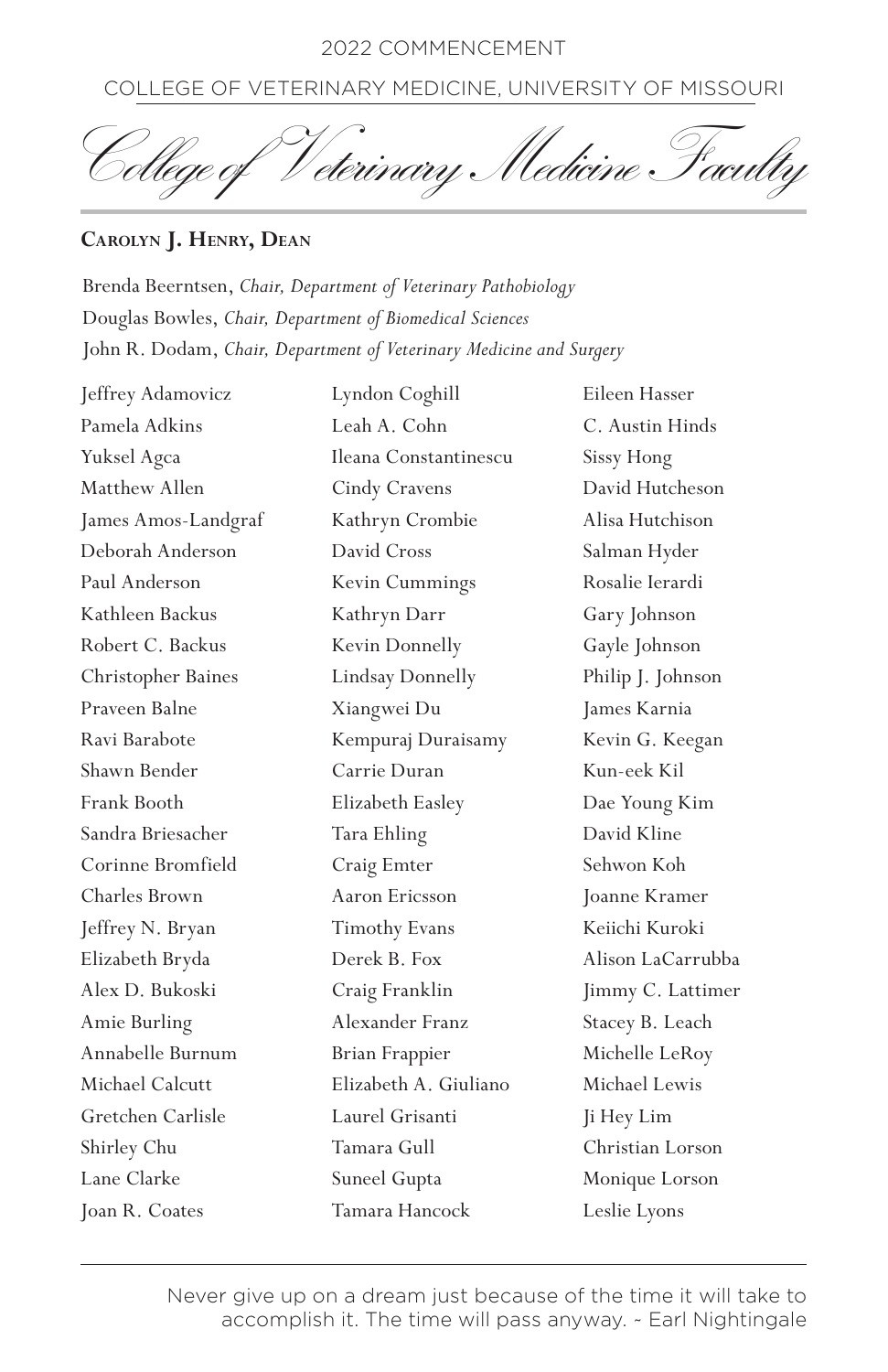COLLEGE OF VETERINARY MEDICINE, UNIVERSITY OF MISSOURI

College of Veterinary Medicine Faculty

## **Carolyn J. Henry, Dean**

Brenda Beerntsen, *Chair, Department of Veterinary Pathobiology*  Douglas Bowles, *Chair, Department of Biomedical Sciences* John R. Dodam, *Chair, Department of Veterinary Medicine and Surgery*

Jeffrey Adamovicz Pamela Adkins Yuksel Agca Matthew Allen James Amos-Landgraf Deborah Anderson Paul Anderson Kathleen Backus Robert C. Backus Christopher Baines Praveen Balne Ravi Barabote Shawn Bender Frank Booth Sandra Briesacher Corinne Bromfield Charles Brown Jeffrey N. Bryan Elizabeth Bryda Alex D. Bukoski Amie Burling Annabelle Burnum Michael Calcutt Gretchen Carlisle Shirley Chu Lane Clarke Joan R. Coates

Lyndon Coghill Leah A. Cohn Ileana Constantinescu Cindy Cravens Kathryn Crombie David Cross Kevin Cummings Kathryn Darr Kevin Donnelly Lindsay Donnelly Xiangwei Du Kempuraj Duraisamy Carrie Duran Elizabeth Easley Tara Ehling Craig Emter Aaron Ericsson Timothy Evans Derek B. Fox Craig Franklin Alexander Franz Brian Frappier Elizabeth A. Giuliano Laurel Grisanti Tamara Gull Suneel Gupta Tamara Hancock

Eileen Hasser C. Austin Hinds Sissy Hong David Hutcheson Alisa Hutchison Salman Hyder Rosalie Ierardi Gary Johnson Gayle Johnson Philip J. Johnson James Karnia Kevin G. Keegan Kun-eek Kil Dae Young Kim David Kline Sehwon Koh Joanne Kramer Keiichi Kuroki Alison LaCarrubba Jimmy C. Lattimer Stacey B. Leach Michelle LeRoy Michael Lewis Ji Hey Lim Christian Lorson Monique Lorson Leslie Lyons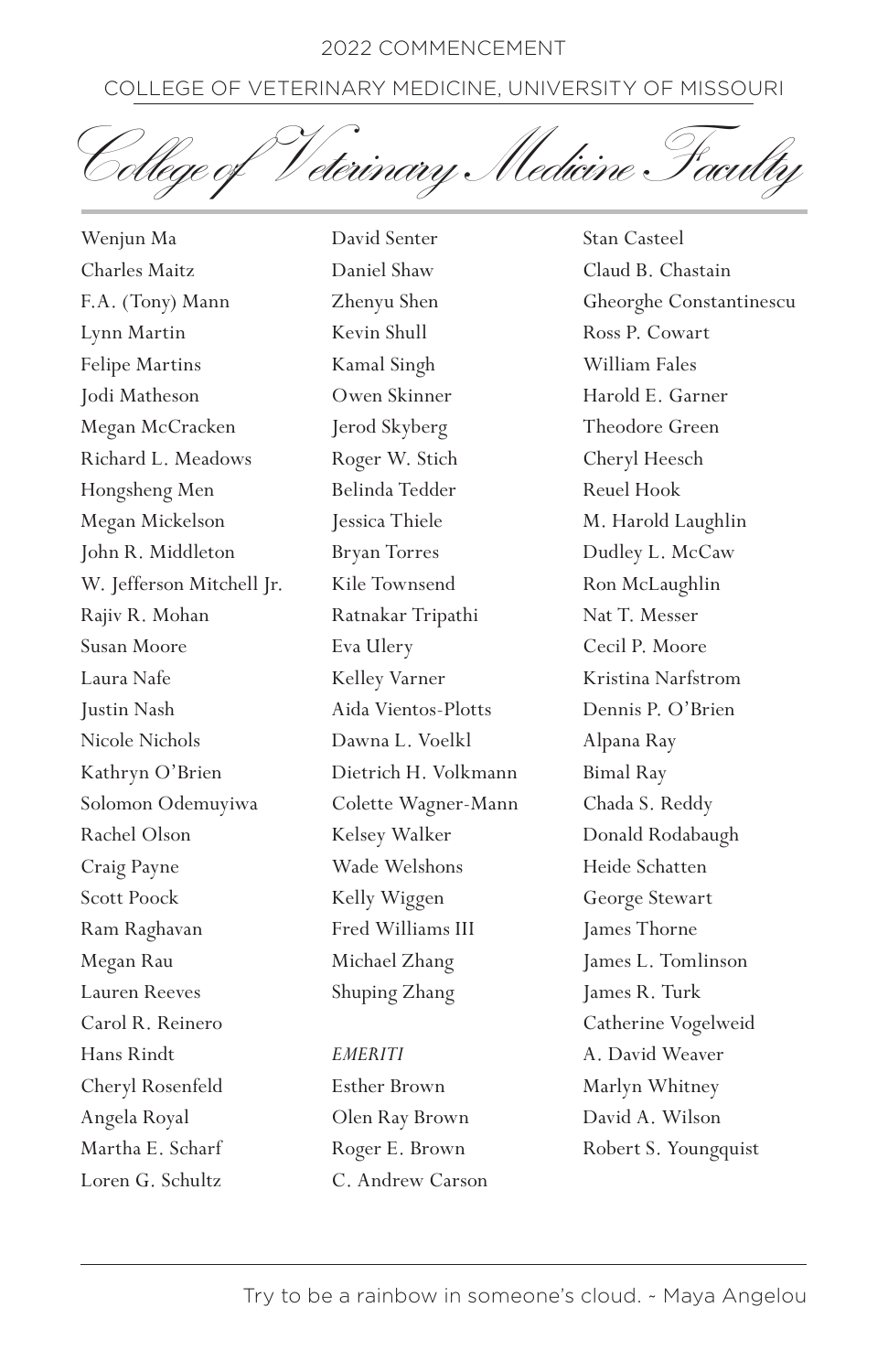# COLLEGE OF VETERINARY MEDICINE, UNIVERSITY OF MISSOURI

<sup>1</sup> eterinary Medicine Faculty

Wenjun Ma Charles Maitz F.A. (Tony) Mann Lynn Martin Felipe Martins Jodi Matheson Megan McCracken Richard L. Meadows Hongsheng Men Megan Mickelson John R. Middleton W. Jefferson Mitchell Jr. Rajiv R. Mohan Susan Moore Laura Nafe Justin Nash Nicole Nichols Kathryn O'Brien Solomon Odemuyiwa Rachel Olson Craig Payne Scott Poock Ram Raghavan Megan Rau Lauren Reeves Carol R. Reinero Hans Rindt Cheryl Rosenfeld Angela Royal Martha E. Scharf Loren G. Schultz

David Senter Daniel Shaw Zhenyu Shen Kevin Shull Kamal Singh Owen Skinner Jerod Skyberg Roger W. Stich Belinda Tedder Jessica Thiele Bryan Torres Kile Townsend Ratnakar Tripathi Eva Ulery Kelley Varner Aida Vientos-Plotts Dawna L. Voelkl Dietrich H. Volkmann Colette Wagner-Mann Kelsey Walker Wade Welshons Kelly Wiggen Fred Williams III Michael Zhang Shuping Zhang

#### *EMERITI*

Esther Brown Olen Ray Brown Roger E. Brown C. Andrew Carson

Stan Casteel Claud B. Chastain Gheorghe Constantinescu Ross P. Cowart William Fales Harold E. Garner Theodore Green Cheryl Heesch Reuel Hook M. Harold Laughlin Dudley L. McCaw Ron McLaughlin Nat T. Messer Cecil P. Moore Kristina Narfstrom Dennis P. O'Brien Alpana Ray Bimal Ray Chada S. Reddy Donald Rodabaugh Heide Schatten George Stewart James Thorne James L. Tomlinson James R. Turk Catherine Vogelweid A. David Weaver Marlyn Whitney David A. Wilson Robert S. Youngquist